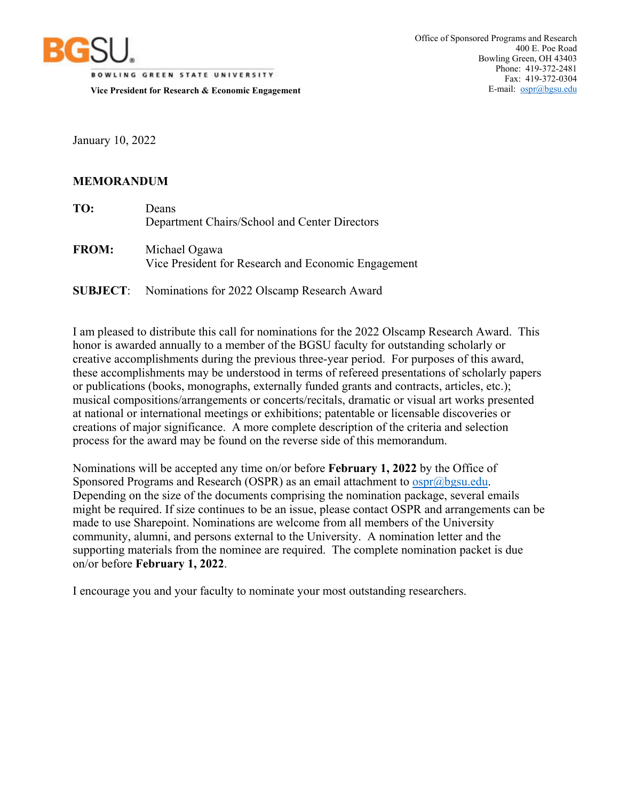

**BOWLING GREEN STATE UNIVERSITY Vice President for Research & Economic Engagement** 

January 10, 2022

## **MEMORANDUM**

| TO: | Deans                                         |
|-----|-----------------------------------------------|
|     | Department Chairs/School and Center Directors |
|     |                                               |

**FROM:** Michael Ogawa Vice President for Research and Economic Engagement

**SUBJECT**: Nominations for 2022 Olscamp Research Award

I am pleased to distribute this call for nominations for the 2022 Olscamp Research Award. This honor is awarded annually to a member of the BGSU faculty for outstanding scholarly or creative accomplishments during the previous three-year period. For purposes of this award, these accomplishments may be understood in terms of refereed presentations of scholarly papers or publications (books, monographs, externally funded grants and contracts, articles, etc.); musical compositions/arrangements or concerts/recitals, dramatic or visual art works presented at national or international meetings or exhibitions; patentable or licensable discoveries or creations of major significance. A more complete description of the criteria and selection process for the award may be found on the reverse side of this memorandum.

Nominations will be accepted any time on/or before **February 1, 2022** by the Office of Sponsored Programs and Research (OSPR) as an email attachment to ospr@bgsu.edu. Depending on the size of the documents comprising the nomination package, several emails might be required. If size continues to be an issue, please contact OSPR and arrangements can be made to use Sharepoint. Nominations are welcome from all members of the University community, alumni, and persons external to the University. A nomination letter and the supporting materials from the nominee are required. The complete nomination packet is due on/or before **February 1, 2022**.

I encourage you and your faculty to nominate your most outstanding researchers.